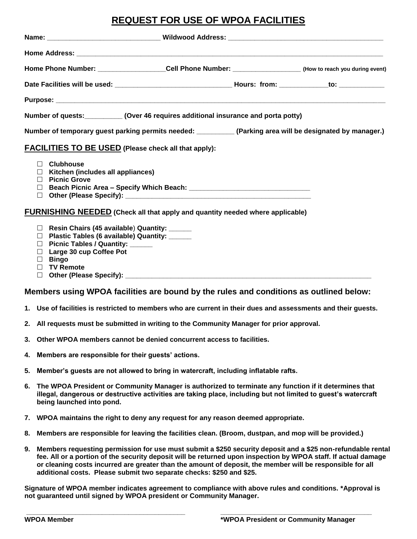# **REQUEST FOR USE OF WPOA FACILITIES**

| Home Phone Number: ________________________Cell Phone Number: ____________________(How to reach you during event) |                                                                                                                                                                                                 |  |  |
|-------------------------------------------------------------------------------------------------------------------|-------------------------------------------------------------------------------------------------------------------------------------------------------------------------------------------------|--|--|
|                                                                                                                   |                                                                                                                                                                                                 |  |  |
|                                                                                                                   |                                                                                                                                                                                                 |  |  |
|                                                                                                                   | Number of quests: __________ (Over 46 requires additional insurance and porta potty)                                                                                                            |  |  |
| Number of temporary guest parking permits needed: ___________(Parking area will be designated by manager.)        |                                                                                                                                                                                                 |  |  |
|                                                                                                                   | <b>FACILITIES TO BE USED</b> (Please check all that apply):                                                                                                                                     |  |  |
| П.<br>П.<br>П.<br>$\Box$                                                                                          | <b>Clubhouse</b><br>Kitchen (includes all appliances)<br><b>Picnic Grove</b>                                                                                                                    |  |  |
|                                                                                                                   | <b>FURNISHING NEEDED</b> (Check all that apply and quantity needed where applicable)                                                                                                            |  |  |
| П.<br>$\Box$<br>$\Box$<br>П                                                                                       | Resin Chairs (45 available) Quantity: ______<br>Plastic Tables (6 available) Quantity: _____<br>Picnic Tables / Quantity: ______<br>Large 30 cup Coffee Pot<br><b>Bingo</b><br><b>TV Remote</b> |  |  |

□ Other (Please Specify):

### **Members using WPOA facilities are bound by the rules and conditions as outlined below:**

- **1. Use of facilities is restricted to members who are current in their dues and assessments and their guests.**
- **2. All requests must be submitted in writing to the Community Manager for prior approval.**
- **3. Other WPOA members cannot be denied concurrent access to facilities.**
- **4. Members are responsible for their guests' actions.**
- **5. Member's guests are not allowed to bring in watercraft, including inflatable rafts.**
- **6. The WPOA President or Community Manager is authorized to terminate any function if it determines that illegal, dangerous or destructive activities are taking place, including but not limited to guest's watercraft being launched into pond.**
- **7. WPOA maintains the right to deny any request for any reason deemed appropriate.**
- **8. Members are responsible for leaving the facilities clean. (Broom, dustpan, and mop will be provided.)**
- **9. Members requesting permission for use must submit a \$250 security deposit and a \$25 non-refundable rental fee. All or a portion of the security deposit will be returned upon inspection by WPOA staff. If actual damage or cleaning costs incurred are greater than the amount of deposit, the member will be responsible for all additional costs. Please submit two separate checks: \$250 and \$25.**

**Signature of WPOA member indicates agreement to compliance with above rules and conditions. \*Approval is not guaranteed until signed by WPOA president or Community Manager.**